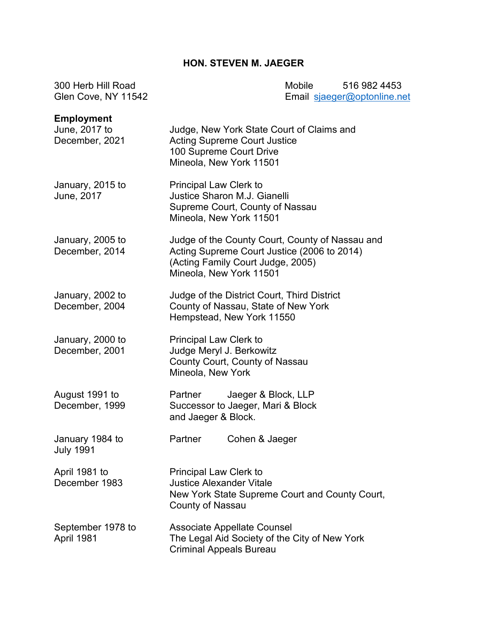### **HON. STEVEN M. JAEGER**

300 Herb Hill Road Mobile 516 982 4453 Email [sjaeger@optonline.net](mailto:sjaeger@optonline.net)

| <b>Employment</b><br>June, 2017 to<br>December, 2021 | Judge, New York State Court of Claims and<br><b>Acting Supreme Court Justice</b><br>100 Supreme Court Drive<br>Mineola, New York 11501                         |
|------------------------------------------------------|----------------------------------------------------------------------------------------------------------------------------------------------------------------|
| January, 2015 to<br>June, 2017                       | Principal Law Clerk to<br>Justice Sharon M.J. Gianelli<br>Supreme Court, County of Nassau<br>Mineola, New York 11501                                           |
| January, 2005 to<br>December, 2014                   | Judge of the County Court, County of Nassau and<br>Acting Supreme Court Justice (2006 to 2014)<br>(Acting Family Court Judge, 2005)<br>Mineola, New York 11501 |
| January, 2002 to<br>December, 2004                   | Judge of the District Court, Third District<br>County of Nassau, State of New York<br>Hempstead, New York 11550                                                |
| January, 2000 to<br>December, 2001                   | Principal Law Clerk to<br>Judge Meryl J. Berkowitz<br>County Court, County of Nassau<br>Mineola, New York                                                      |
| August 1991 to<br>December, 1999                     | Jaeger & Block, LLP<br>Partner<br>Successor to Jaeger, Mari & Block<br>and Jaeger & Block.                                                                     |
| January 1984 to<br><b>July 1991</b>                  | Partner<br>Cohen & Jaeger                                                                                                                                      |
| April 1981 to<br>December 1983                       | <b>Principal Law Clerk to</b><br><b>Justice Alexander Vitale</b><br>New York State Supreme Court and County Court,<br><b>County of Nassau</b>                  |
| September 1978 to<br>April 1981                      | <b>Associate Appellate Counsel</b><br>The Legal Aid Society of the City of New York<br><b>Criminal Appeals Bureau</b>                                          |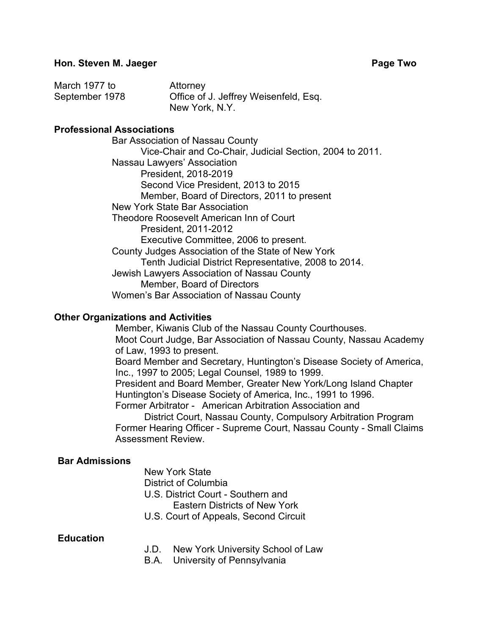| March 1977 to  | Attorney                              |
|----------------|---------------------------------------|
| September 1978 | Office of J. Jeffrey Weisenfeld, Esq. |
|                | New York, N.Y.                        |

#### **Professional Associations**

Bar Association of Nassau County Vice-Chair and Co-Chair, Judicial Section, 2004 to 2011. Nassau Lawyers' Association President, 2018-2019 Second Vice President, 2013 to 2015 Member, Board of Directors, 2011 to present New York State Bar Association Theodore Roosevelt American Inn of Court President, 2011-2012 Executive Committee, 2006 to present. County Judges Association of the State of New York Tenth Judicial District Representative, 2008 to 2014. Jewish Lawyers Association of Nassau County Member, Board of Directors Women's Bar Association of Nassau County

#### **Other Organizations and Activities**

Member, Kiwanis Club of the Nassau County Courthouses. Moot Court Judge, Bar Association of Nassau County, Nassau Academy of Law, 1993 to present. Board Member and Secretary, Huntington's Disease Society of America, Inc., 1997 to 2005; Legal Counsel, 1989 to 1999. President and Board Member, Greater New York/Long Island Chapter Huntington's Disease Society of America, Inc., 1991 to 1996. Former Arbitrator - American Arbitration Association and District Court, Nassau County, Compulsory Arbitration Program

Former Hearing Officer - Supreme Court, Nassau County - Small Claims Assessment Review.

#### **Bar Admissions**

New York State District of Columbia U.S. District Court - Southern and Eastern Districts of New York

U.S. Court of Appeals, Second Circuit

#### **Education**

- J.D. New York University School of Law
- B.A. University of Pennsylvania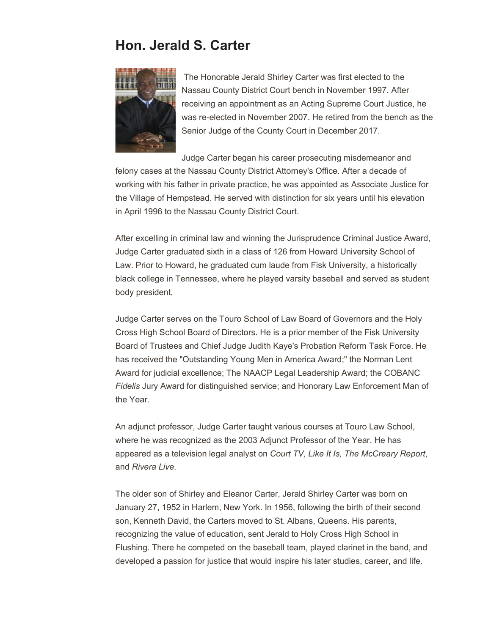# **Hon. Jerald S. Carter**



The Honorable Jerald Shirley Carter was first elected to the Nassau County District Court bench in November 1997. After receiving an appointment as an Acting Supreme Court Justice, he was re-elected in November 2007. He retired from the bench as the Senior Judge of the County Court in December 2017.

Judge Carter began his career prosecuting misdemeanor and felony cases at the Nassau County District Attorney's Office. After a decade of working with his father in private practice, he was appointed as Associate Justice for the Village of Hempstead. He served with distinction for six years until his elevation in April 1996 to the Nassau County District Court.

After excelling in criminal law and winning the Jurisprudence Criminal Justice Award, Judge Carter graduated sixth in a class of 126 from Howard University School of Law. Prior to Howard, he graduated cum laude from Fisk University, a historically black college in Tennessee, where he played varsity baseball and served as student body president,

Judge Carter serves on the Touro School of Law Board of Governors and the Holy Cross High School Board of Directors. He is a prior member of the Fisk University Board of Trustees and Chief Judge Judith Kaye's Probation Reform Task Force. He has received the "Outstanding Young Men in America Award;" the Norman Lent Award for judicial excellence; The NAACP Legal Leadership Award; the COBANC *Fidelis* Jury Award for distinguished service; and Honorary Law Enforcement Man of the Year.

An adjunct professor, Judge Carter taught various courses at Touro Law School, where he was recognized as the 2003 Adjunct Professor of the Year. He has appeared as a television legal analyst on *Court TV, Like It Is, The McCreary Report*, and *Rivera Live*.

The older son of Shirley and Eleanor Carter, Jerald Shirley Carter was born on January 27, 1952 in Harlem, New York. In 1956, following the birth of their second son, Kenneth David, the Carters moved to St. Albans, Queens. His parents, recognizing the value of education, sent Jerald to Holy Cross High School in Flushing. There he competed on the baseball team, played clarinet in the band, and developed a passion for justice that would inspire his later studies, career, and life.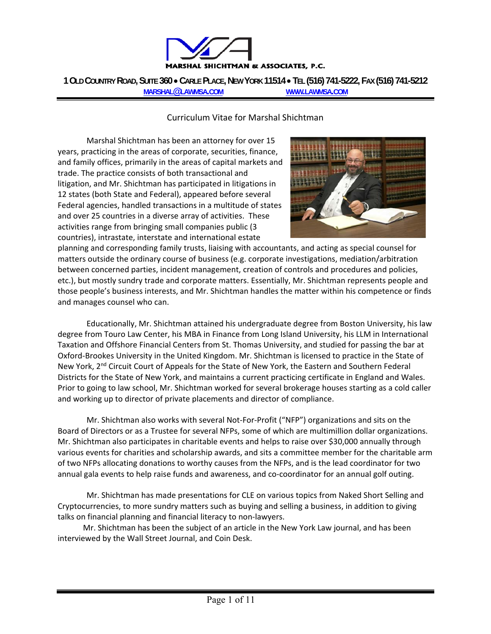

**1 OLD COUNTRY ROAD, SUITE 360 CARLE PLACE, NEW YORK 11514 TEL (516) 741-5222, FAX (516) 741-5212 MARSHAL@LAWMSA.COM WWW.LAWMSA.COM**

#### Curriculum Vitae for Marshal Shichtman

Marshal Shichtman has been an attorney for over 15 years, practicing in the areas of corporate, securities, finance, and family offices, primarily in the areas of capital markets and trade. The practice consists of both transactional and litigation, and Mr. Shichtman has participated in litigations in 12 states (both State and Federal), appeared before several Federal agencies, handled transactions in a multitude of states and over 25 countries in a diverse array of activities. These activities range from bringing small companies public (3 countries), intrastate, interstate and international estate



planning and corresponding family trusts, liaising with accountants, and acting as special counsel for matters outside the ordinary course of business (e.g. corporate investigations, mediation/arbitration between concerned parties, incident management, creation of controls and procedures and policies, etc.), but mostly sundry trade and corporate matters. Essentially, Mr. Shichtman represents people and those people's business interests, and Mr. Shichtman handles the matter within his competence or finds and manages counsel who can.

Educationally, Mr. Shichtman attained his undergraduate degree from Boston University, his law degree from Touro Law Center, his MBA in Finance from Long Island University, his LLM in International Taxation and Offshore Financial Centers from St. Thomas University, and studied for passing the bar at Oxford‐Brookes University in the United Kingdom. Mr. Shichtman is licensed to practice in the State of New York, 2<sup>nd</sup> Circuit Court of Appeals for the State of New York, the Eastern and Southern Federal Districts for the State of New York, and maintains a current practicing certificate in England and Wales. Prior to going to law school, Mr. Shichtman worked for several brokerage houses starting as a cold caller and working up to director of private placements and director of compliance.

Mr. Shichtman also works with several Not‐For‐Profit ("NFP") organizations and sits on the Board of Directors or as a Trustee for several NFPs, some of which are multimillion dollar organizations. Mr. Shichtman also participates in charitable events and helps to raise over \$30,000 annually through various events for charities and scholarship awards, and sits a committee member for the charitable arm of two NFPs allocating donations to worthy causes from the NFPs, and is the lead coordinator for two annual gala events to help raise funds and awareness, and co-coordinator for an annual golf outing.

Mr. Shichtman has made presentations for CLE on various topics from Naked Short Selling and Cryptocurrencies, to more sundry matters such as buying and selling a business, in addition to giving talks on financial planning and financial literacy to non‐lawyers.

Mr. Shichtman has been the subject of an article in the New York Law journal, and has been interviewed by the Wall Street Journal, and Coin Desk.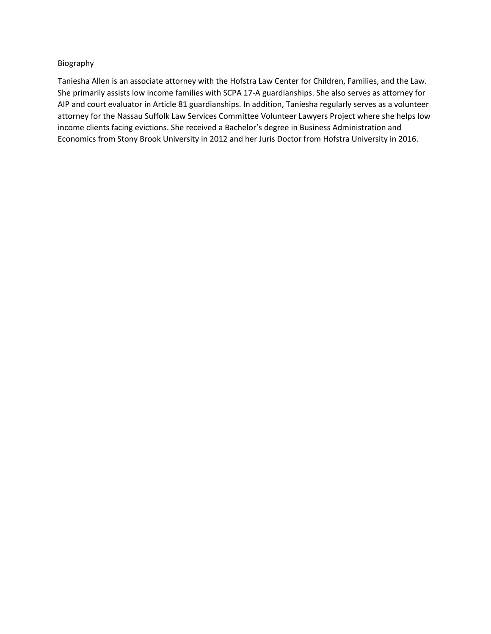#### Biography

Taniesha Allen is an associate attorney with the Hofstra Law Center for Children, Families, and the Law. She primarily assists low income families with SCPA 17-A guardianships. She also serves as attorney for AIP and court evaluator in Article 81 guardianships. In addition, Taniesha regularly serves as a volunteer attorney for the Nassau Suffolk Law Services Committee Volunteer Lawyers Project where she helps low income clients facing evictions. She received a Bachelor's degree in Business Administration and Economics from Stony Brook University in 2012 and her Juris Doctor from Hofstra University in 2016.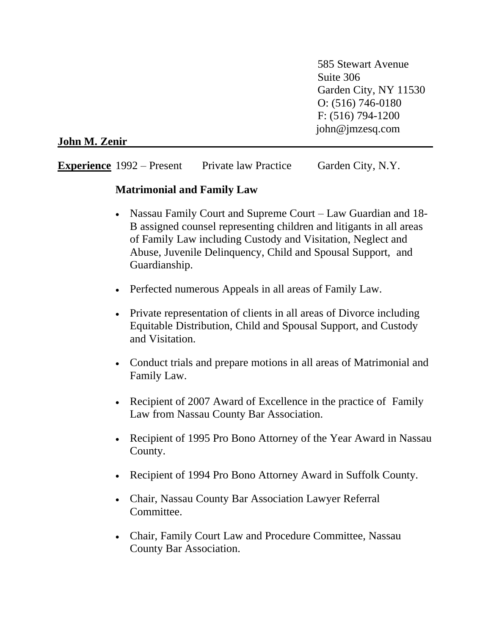585 Stewart Avenue Suite 306 Garden City, NY 11530 O: (516) 746-0180 F: (516) 794-1200 john@jmzesq.com

**John M. Zenir**

**Experience** 1992 – Present Private law Practice Garden City, N.Y.

#### **Matrimonial and Family Law**

- Nassau Family Court and Supreme Court Law Guardian and 18-B assigned counsel representing children and litigants in all areas of Family Law including Custody and Visitation, Neglect and Abuse, Juvenile Delinquency, Child and Spousal Support, and Guardianship.
- Perfected numerous Appeals in all areas of Family Law.
- Private representation of clients in all areas of Divorce including Equitable Distribution, Child and Spousal Support, and Custody and Visitation.
- Conduct trials and prepare motions in all areas of Matrimonial and Family Law.
- Recipient of 2007 Award of Excellence in the practice of Family Law from Nassau County Bar Association.
- Recipient of 1995 Pro Bono Attorney of the Year Award in Nassau County.
- Recipient of 1994 Pro Bono Attorney Award in Suffolk County.
- Chair, Nassau County Bar Association Lawyer Referral Committee.
- Chair, Family Court Law and Procedure Committee, Nassau County Bar Association.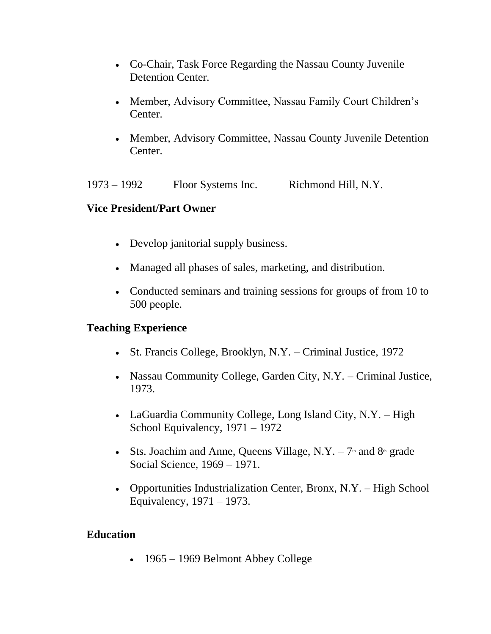- Co-Chair, Task Force Regarding the Nassau County Juvenile Detention Center.
- Member, Advisory Committee, Nassau Family Court Children's Center.
- Member, Advisory Committee, Nassau County Juvenile Detention Center.

1973 – 1992 Floor Systems Inc. Richmond Hill, N.Y.

# **Vice President/Part Owner**

- Develop janitorial supply business.
- Managed all phases of sales, marketing, and distribution.
- Conducted seminars and training sessions for groups of from 10 to 500 people.

# **Teaching Experience**

- St. Francis College, Brooklyn, N.Y. Criminal Justice, 1972
- Nassau Community College, Garden City, N.Y. Criminal Justice, 1973.
- LaGuardia Community College, Long Island City, N.Y. High School Equivalency, 1971 – 1972
- Sts. Joachim and Anne, Queens Village, N.Y.  $-7$ <sup>th</sup> and  $8$ <sup>th</sup> grade Social Science, 1969 – 1971.
- Opportunities Industrialization Center, Bronx, N.Y. High School Equivalency, 1971 – 1973.

# **Education**

• 1965 – 1969 Belmont Abbey College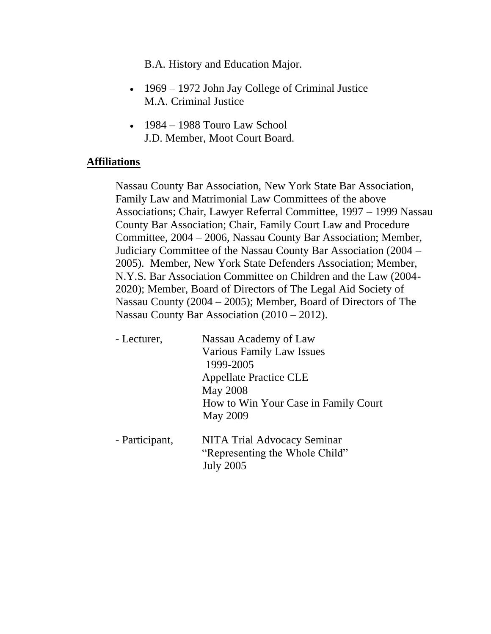B.A. History and Education Major.

- 1969 1972 John Jay College of Criminal Justice M.A. Criminal Justice
- $\cdot$  1984 1988 Touro Law School J.D. Member, Moot Court Board.

#### **Affiliations**

Nassau County Bar Association, New York State Bar Association, Family Law and Matrimonial Law Committees of the above Associations; Chair, Lawyer Referral Committee, 1997 – 1999 Nassau County Bar Association; Chair, Family Court Law and Procedure Committee, 2004 – 2006, Nassau County Bar Association; Member, Judiciary Committee of the Nassau County Bar Association (2004 – 2005). Member, New York State Defenders Association; Member, N.Y.S. Bar Association Committee on Children and the Law (2004- 2020); Member, Board of Directors of The Legal Aid Society of Nassau County (2004 – 2005); Member, Board of Directors of The Nassau County Bar Association (2010 – 2012).

| - Lecturer,    | Nassau Academy of Law                |
|----------------|--------------------------------------|
|                | Various Family Law Issues            |
|                | 1999-2005                            |
|                | <b>Appellate Practice CLE</b>        |
|                | <b>May 2008</b>                      |
|                | How to Win Your Case in Family Court |
|                | <b>May 2009</b>                      |
| - Participant, | NITA Trial Advocacy Seminar          |
|                | "Representing the Whole Child"       |
|                | <b>July 2005</b>                     |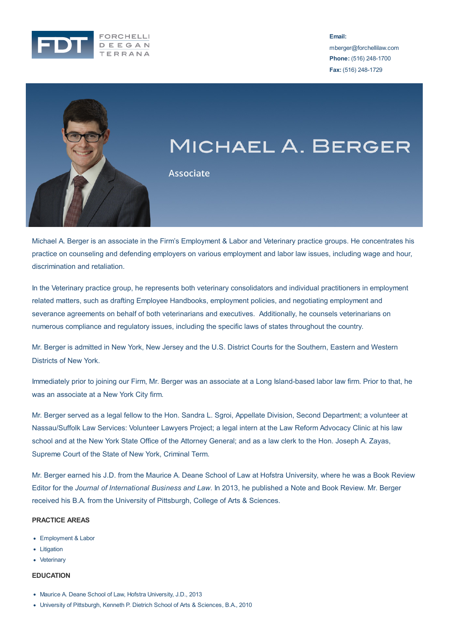

**Email:**

mberger@forchellilaw.com **Phone:** (516) 248-1700 **Fax:** (516) 248-1729



# MICHAEL A. BERGER

**Associate** 

Michael A. Berger is an associate in the Firm's Employment & Labor and Veterinary practice groups. He concentrates his practice on counseling and defending employers on various employment and labor law issues, including wage and hour, discrimination and retaliation.

In the Veterinary practice group, he represents both veterinary consolidators and individual practitioners in employment related matters, such as drafting Employee Handbooks, employment policies, and negotiating employment and severance agreements on behalf of both veterinarians and executives. Additionally, he counsels veterinarians on numerous compliance and regulatory issues, including the specific laws of states throughout the country.

Mr. Berger is admitted in New York, New Jersey and the U.S. District Courts for the Southern, Eastern and Western Districts of New York.

Immediately prior to joining our Firm, Mr. Berger was an associate at a Long Island-based labor law firm. Prior to that, he was an associate at a New York City firm.

Mr. Berger served as a legal fellow to the Hon. Sandra L. Sgroi, Appellate Division, Second Department; a volunteer at Nassau/Suffolk Law Services: Volunteer Lawyers Project; a legal intern at the Law Reform Advocacy Clinic at his law school and at the New York State Office of the Attorney General; and as a law clerk to the Hon. Joseph A. Zayas, Supreme Court of the State of New York, Criminal Term.

Mr. Berger earned his J.D. from the Maurice A. Deane School of Law at Hofstra University, where he was a Book Review

Editor for the *Journal of International Business and Law*. In 2013, he published a Note and Book Review. Mr. Berger received his B.A. from the University of Pittsburgh, College of Arts & Sciences.

# **PRACTICE AREAS**

- Employment & Labor
- Litigation
- Veterinary

#### **EDUCATION**

- Maurice A. Deane School of Law, Hofstra University, J.D., 2013
- University of Pittsburgh, Kenneth P. Dietrich School of Arts & Sciences, B.A., 2010